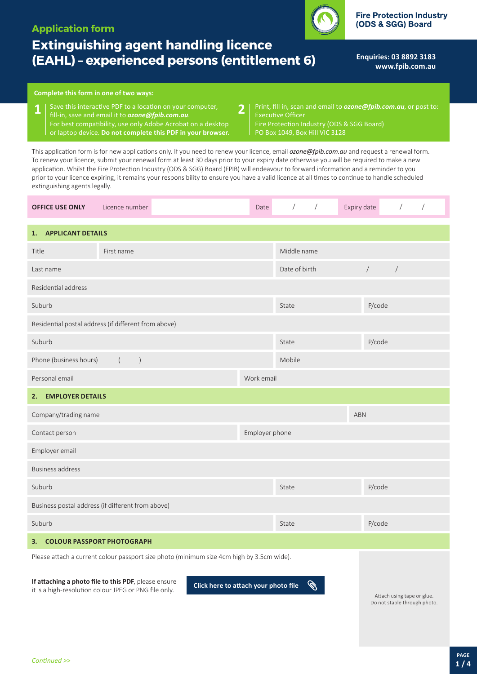# **Application form**

# **Extinguishing agent handling licence (EAHL) – experienced persons (entitlement 6)**

**Enquiries: 03 8892 3183 <www.fpib.com.au>**

**Fire Protection Industry** (ODS & SGG) Board

# **Complete this form in one of two ways:**

- Save this interactive PDF to a location on your computer, **1 2** fill-in, save and email it to *[ozone@fpib.com.au](mailto:ozone@fpib.com.au)*. For best compatibility, use only Adobe Acrobat on a desktop or laptop device. **Do not complete this PDF in your browser.**
- Print, fill in, scan and email to *[ozone@fpib.com.au](mailto:)*, or post to: Executive Officer Fire Protection Industry (ODS & SGG Board)

PO Box 1049, Box Hill VIC 3128

This application form is for new applications only. If you need to renew your licence, email *[ozone@fpib.com.au](mailto:ozone@fpib.com.au)* and request a renewal form. To renew your licence, submit your renewal form at least 30 days prior to your expiry date otherwise you will be required to make a new application. Whilst the Fire Protection Industry (ODS & SGG) Board (FPIB) will endeavour to forward information and a reminder to you prior to your licence expiring, it remains your responsibility to ensure you have a valid licence at all times to continue to handle scheduled extinguishing agents legally.

| <b>OFFICE USE ONLY</b>                                                                    | Licence number                                                           | Date | $\sqrt{2}$<br>$\sqrt{2}$                    | Expiry date<br>$\sqrt{2}$<br>$\sqrt{2}$ |  |  |
|-------------------------------------------------------------------------------------------|--------------------------------------------------------------------------|------|---------------------------------------------|-----------------------------------------|--|--|
| <b>APPLICANT DETAILS</b><br>1.                                                            |                                                                          |      |                                             |                                         |  |  |
| Title<br>First name                                                                       |                                                                          |      | Middle name                                 |                                         |  |  |
| Last name                                                                                 |                                                                          |      | Date of birth                               | $\overline{ }$<br>$\sqrt{\phantom{a}}$  |  |  |
| Residential address                                                                       |                                                                          |      |                                             |                                         |  |  |
| Suburb                                                                                    |                                                                          |      | P/code<br>State                             |                                         |  |  |
| Residential postal address (if different from above)                                      |                                                                          |      |                                             |                                         |  |  |
| Suburb                                                                                    |                                                                          |      | State                                       | P/code                                  |  |  |
| Phone (business hours)<br>$\overline{(\ }$<br>$\big)$                                     |                                                                          |      | Mobile                                      |                                         |  |  |
| Personal email                                                                            |                                                                          |      | Work email                                  |                                         |  |  |
| <b>EMPLOYER DETAILS</b><br>2.                                                             |                                                                          |      |                                             |                                         |  |  |
| Company/trading name                                                                      |                                                                          |      | <b>ABN</b>                                  |                                         |  |  |
| Contact person                                                                            |                                                                          |      | Employer phone                              |                                         |  |  |
| Employer email                                                                            |                                                                          |      |                                             |                                         |  |  |
| <b>Business address</b>                                                                   |                                                                          |      |                                             |                                         |  |  |
| Suburb                                                                                    |                                                                          |      | State                                       | P/code                                  |  |  |
| Business postal address (if different from above)                                         |                                                                          |      |                                             |                                         |  |  |
| Suburb                                                                                    |                                                                          |      | State                                       | P/code                                  |  |  |
| <b>COLOUR PASSPORT PHOTOGRAPH</b><br>3.                                                   |                                                                          |      |                                             |                                         |  |  |
| Please attach a current colour passport size photo (minimum size 4cm high by 3.5cm wide). |                                                                          |      |                                             |                                         |  |  |
|                                                                                           | If attaching a photo file to this PDF, please ensure<br>and the state of |      | $\sim$<br><b>Contract Contract Contract</b> |                                         |  |  |

it is a high-resolution colour JPEG or PNG file only. **Click here to attach your photo file**

Attach using tape or glue. Do not staple through photo.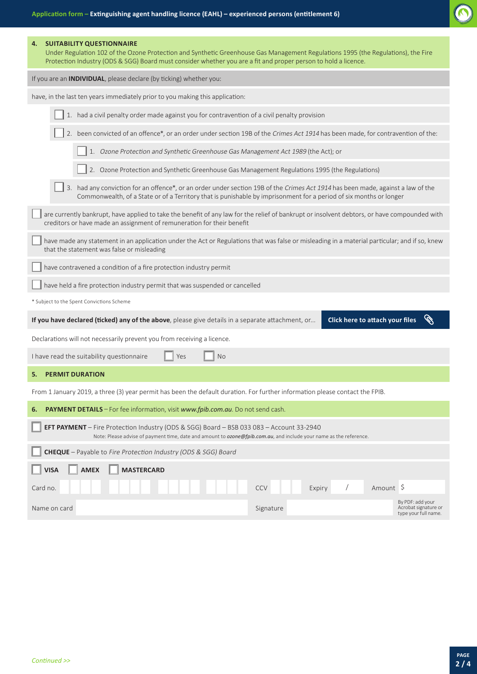| <b>SUITABILITY QUESTIONNAIRE</b><br>4.<br>Under Regulation 102 of the Ozone Protection and Synthetic Greenhouse Gas Management Regulations 1995 (the Regulations), the Fire<br>Protection Industry (ODS & SGG) Board must consider whether you are a fit and proper person to hold a licence. |  |  |  |  |  |
|-----------------------------------------------------------------------------------------------------------------------------------------------------------------------------------------------------------------------------------------------------------------------------------------------|--|--|--|--|--|
| If you are an <b>INDIVIDUAL</b> , please declare (by ticking) whether you:                                                                                                                                                                                                                    |  |  |  |  |  |
| have, in the last ten years immediately prior to you making this application:                                                                                                                                                                                                                 |  |  |  |  |  |
| 1. had a civil penalty order made against you for contravention of a civil penalty provision                                                                                                                                                                                                  |  |  |  |  |  |
| 2. been convicted of an offence*, or an order under section 19B of the Crimes Act 1914 has been made, for contravention of the:                                                                                                                                                               |  |  |  |  |  |
| 1. Ozone Protection and Synthetic Greenhouse Gas Management Act 1989 (the Act); or                                                                                                                                                                                                            |  |  |  |  |  |
| 2. Ozone Protection and Synthetic Greenhouse Gas Management Regulations 1995 (the Regulations)                                                                                                                                                                                                |  |  |  |  |  |
| 3. had any conviction for an offence*, or an order under section 19B of the Crimes Act 1914 has been made, against a law of the<br>Commonwealth, of a State or of a Territory that is punishable by imprisonment for a period of six months or longer                                         |  |  |  |  |  |
| are currently bankrupt, have applied to take the benefit of any law for the relief of bankrupt or insolvent debtors, or have compounded with<br>creditors or have made an assignment of remuneration for their benefit                                                                        |  |  |  |  |  |
| have made any statement in an application under the Act or Regulations that was false or misleading in a material particular; and if so, knew<br>that the statement was false or misleading                                                                                                   |  |  |  |  |  |
| have contravened a condition of a fire protection industry permit                                                                                                                                                                                                                             |  |  |  |  |  |
| have held a fire protection industry permit that was suspended or cancelled                                                                                                                                                                                                                   |  |  |  |  |  |
| * Subject to the Spent Convictions Scheme                                                                                                                                                                                                                                                     |  |  |  |  |  |
| If you have declared (ticked) any of the above, please give details in a separate attachment, or<br>Click here to attach your files                                                                                                                                                           |  |  |  |  |  |
| Declarations will not necessarily prevent you from receiving a licence.                                                                                                                                                                                                                       |  |  |  |  |  |
| I have read the suitability questionnaire<br><b>No</b><br>Yes                                                                                                                                                                                                                                 |  |  |  |  |  |
| <b>PERMIT DURATION</b><br>5.                                                                                                                                                                                                                                                                  |  |  |  |  |  |
| From 1 January 2019, a three (3) year permit has been the default duration. For further information please contact the FPIB                                                                                                                                                                   |  |  |  |  |  |
| PAYMENT DETAILS - For fee information, visit www.fpib.com.au. Do not send cash.<br>6.                                                                                                                                                                                                         |  |  |  |  |  |
| EFT PAYMENT - Fire Protection Industry (ODS & SGG) Board - BSB 033 083 - Account 33-2940<br>Note: Please advise of payment time, date and amount to ozone@fpib.com.au, and include your name as the reference.                                                                                |  |  |  |  |  |
| CHEQUE - Payable to Fire Protection Industry (ODS & SGG) Board                                                                                                                                                                                                                                |  |  |  |  |  |
| <b>AMEX</b><br><b>MASTERCARD</b><br><b>VISA</b>                                                                                                                                                                                                                                               |  |  |  |  |  |
| Amount \$<br><b>CCV</b><br>Card no.<br>Expiry                                                                                                                                                                                                                                                 |  |  |  |  |  |
| By PDF: add your<br>Acrobat signature or<br>Signature<br>Name on card<br>type your full name.                                                                                                                                                                                                 |  |  |  |  |  |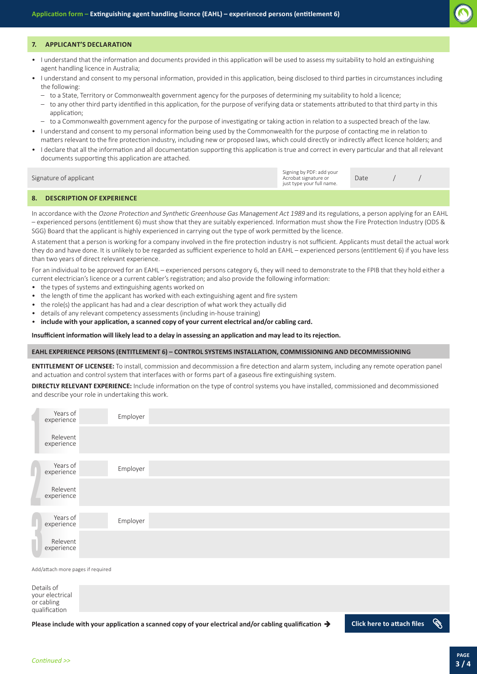

#### **7. APPLICANT'S DECLARATION**

- I understand that the information and documents provided in this application will be used to assess my suitability to hold an extinguishing agent handling licence in Australia;
- I understand and consent to my personal information, provided in this application, being disclosed to third parties in circumstances including the following:
- to a State, Territory or Commonwealth government agency for the purposes of determining my suitability to hold a licence;
- to any other third party identified in this application, for the purpose of verifying data or statements attributed to that third party in this application;
- to a Commonwealth government agency for the purpose of investigating or taking action in relation to a suspected breach of the law.
- I understand and consent to my personal information being used by the Commonwealth for the purpose of contacting me in relation to matters relevant to the fire protection industry, including new or proposed laws, which could directly or indirectly affect licence holders; and
- I declare that all the information and all documentation supporting this application is true and correct in every particular and that all relevant documents supporting this application are attached.

| Signature of applicant | Signing by PDF: add your<br>Acrobat signature or<br>just type your full name. | Date |  |
|------------------------|-------------------------------------------------------------------------------|------|--|
|                        |                                                                               |      |  |

#### **8. DESCRIPTION OF EXPERIENCE**

In accordance with the Ozone Protection and Synthetic Greenhouse Gas Management Act 1989 and its regulations, a person applying for an EAHL – experienced persons (entitlement 6) must show that they are suitably experienced. Information must show the Fire Protection Industry (ODS & SGG) Board that the applicant is highly experienced in carrying out the type of work permitted by the licence.

A statement that a person is working for a company involved in the fire protection industry is not sufficient. Applicants must detail the actual work they do and have done. It is unlikely to be regarded as sufficient experience to hold an EAHL – experienced persons (entitlement 6) if you have less than two years of direct relevant experience.

For an individual to be approved for an EAHL – experienced persons category 6, they will need to demonstrate to the FPIB that they hold either a current electrician's licence or a current cabler's registration; and also provide the following information:

- the types of systems and extinguishing agents worked on
- the length of time the applicant has worked with each extinguishing agent and fire system
- the role(s) the applicant has had and a clear description of what work they actually did
- details of any relevant competency assessments (including in-house training)

• **include with your application, a scanned copy of your current electrical and/or cabling card.** 

**Insufficient information will likely lead to a delay in assessing an application and may lead to its rejection.**

# **EAHL EXPERIENCE PERSONS (ENTITLEMENT 6) – CONTROL SYSTEMS INSTALLATION, COMMISSIONING AND DECOMMISSIONING**

**ENTITLEMENT OF LICENSEE:** To install, commission and decommission a fire detection and alarm system, including any remote operation panel and actuation and control system that interfaces with or forms part of a gaseous fire extinguishing system.

**DIRECTLY RELEVANT EXPERIENCE:** Include information on the type of control systems you have installed, commissioned and decommissioned and describe your role in undertaking this work.

| Years of<br>experience | Employer |  |
|------------------------|----------|--|
| Relevent<br>experience |          |  |
| Years of<br>experience | Employer |  |
| Relevent<br>experience |          |  |
| Years of<br>experience | Employer |  |
| Relevent<br>experience |          |  |

Add/attach more pages if required

Details of your electrical or cabling qualification

**Please include with your application a scanned copy of your electrical and/or cabling qualification**  $\rightarrow$  **Click here to attach files**